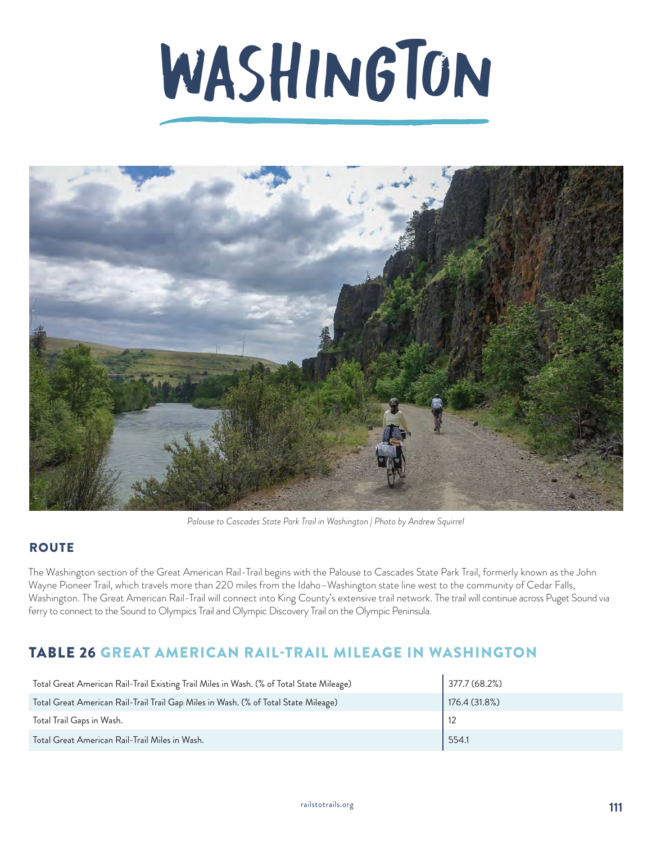# WASHINGTON



*Palouse to Cascades State Park Trail in Washington | Photo by Andrew Squirrel*

## **ROUTE**

The Washington section of the Great American Rail-Trail begins with the Palouse to Cascades State Park Trail, formerly known as the John Wayne Pioneer Trail, which travels more than 220 miles from the Idaho–Washington state line west to the community of Cedar Falls, Washington. The Great American Rail-Trail will connect into King County's extensive trail network. The trail will continue across Puget Sound via ferry to connect to the Sound to Olympics Trail and Olympic Discovery Trail on the Olympic Peninsula.

## TABLE 26 GREAT AMERICAN RAIL-TRAIL MILEAGE IN WASHINGTON

| Total Great American Rail-Trail Existing Trail Miles in Wash. (% of Total State Mileage) | 377.7(68.2%)  |
|------------------------------------------------------------------------------------------|---------------|
| Total Great American Rail-Trail Trail Gap Miles in Wash. (% of Total State Mileage)      | 176.4 (31.8%) |
| Total Trail Gaps in Wash.                                                                |               |
| Total Great American Rail-Trail Miles in Wash.                                           | 554.1         |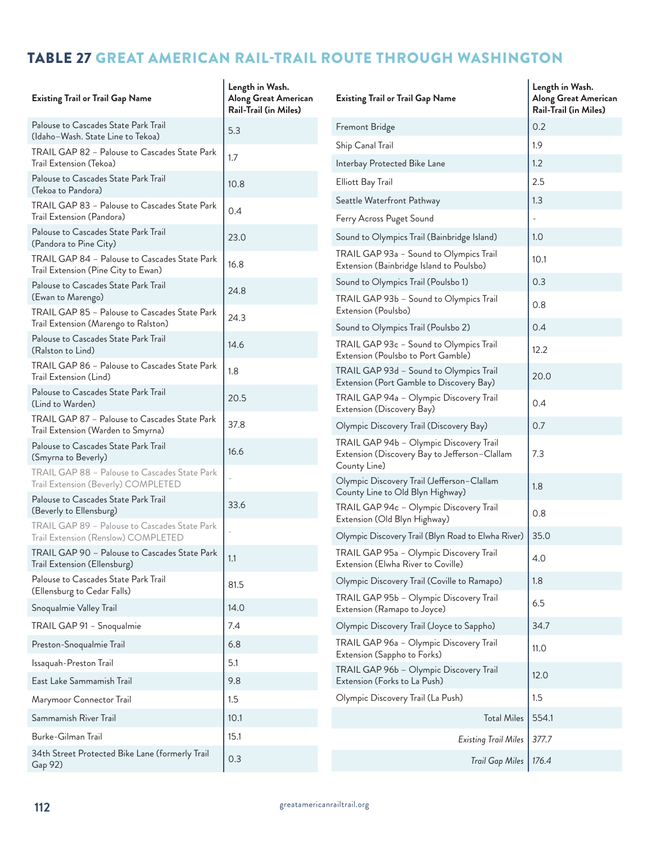## TABLE 27 GREAT AMERICAN RAIL-TRAIL ROUTE THROUGH WASHINGTON

| <b>Existing Trail or Trail Gap Name</b>                                              | Length in Wash.<br>Along Great American<br>Rail-Trail (in Miles) | <b>Existing Trail or Trail Gap Name</b>                                                  | Length in Wash.<br>Along Great American<br>Rail-Trail (in Miles) |
|--------------------------------------------------------------------------------------|------------------------------------------------------------------|------------------------------------------------------------------------------------------|------------------------------------------------------------------|
| Palouse to Cascades State Park Trail                                                 | 5.3                                                              | Fremont Bridge                                                                           | 0.2                                                              |
| (Idaho-Wash. State Line to Tekoa)                                                    |                                                                  | Ship Canal Trail                                                                         | 1.9                                                              |
| TRAIL GAP 82 - Palouse to Cascades State Park<br>Trail Extension (Tekoa)             | 1.7                                                              | Interbay Protected Bike Lane                                                             | 1.2                                                              |
| Palouse to Cascades State Park Trail<br>(Tekoa to Pandora)                           | 10.8                                                             | Elliott Bay Trail                                                                        | 2.5                                                              |
| TRAIL GAP 83 - Palouse to Cascades State Park                                        | 0.4                                                              | Seattle Waterfront Pathway                                                               | 1.3                                                              |
| Trail Extension (Pandora)                                                            |                                                                  | Ferry Across Puget Sound                                                                 |                                                                  |
| Palouse to Cascades State Park Trail<br>(Pandora to Pine City)                       | 23.0                                                             | Sound to Olympics Trail (Bainbridge Island)                                              | 1.0                                                              |
| TRAIL GAP 84 - Palouse to Cascades State Park<br>Trail Extension (Pine City to Ewan) | 16.8                                                             | TRAIL GAP 93a - Sound to Olympics Trail<br>Extension (Bainbridge Island to Poulsbo)      | 10.1                                                             |
| Palouse to Cascades State Park Trail                                                 | 24.8                                                             | Sound to Olympics Trail (Poulsbo 1)                                                      | 0.3                                                              |
| (Ewan to Marengo)<br>TRAIL GAP 85 - Palouse to Cascades State Park                   |                                                                  | TRAIL GAP 93b - Sound to Olympics Trail<br>Extension (Poulsbo)                           | 0.8                                                              |
| Trail Extension (Marengo to Ralston)                                                 | 24.3                                                             | Sound to Olympics Trail (Poulsbo 2)                                                      | 0.4                                                              |
| Palouse to Cascades State Park Trail<br>(Ralston to Lind)                            | 14.6                                                             | TRAIL GAP 93c - Sound to Olympics Trail<br>Extension (Poulsbo to Port Gamble)            | 12.2                                                             |
| TRAIL GAP 86 - Palouse to Cascades State Park<br>Trail Extension (Lind)              | 1.8                                                              | TRAIL GAP 93d - Sound to Olympics Trail<br>Extension (Port Gamble to Discovery Bay)      | 20.0                                                             |
| Palouse to Cascades State Park Trail<br>(Lind to Warden)                             | 20.5                                                             | TRAIL GAP 94a - Olympic Discovery Trail<br>Extension (Discovery Bay)                     | 0.4                                                              |
| TRAIL GAP 87 - Palouse to Cascades State Park<br>Trail Extension (Warden to Smyrna)  | 37.8                                                             | Olympic Discovery Trail (Discovery Bay)                                                  | 0.7                                                              |
| Palouse to Cascades State Park Trail<br>(Smyrna to Beverly)                          | 16.6                                                             | TRAIL GAP 94b - Olympic Discovery Trail<br>Extension (Discovery Bay to Jefferson-Clallam | 7.3                                                              |
| TRAIL GAP 88 - Palouse to Cascades State Park<br>Trail Extension (Beverly) COMPLETED |                                                                  | County Line)<br>Olympic Discovery Trail (Jefferson-Clallam                               | 1.8                                                              |
| Palouse to Cascades State Park Trail<br>(Beverly to Ellensburg)                      | 33.6                                                             | County Line to Old Blyn Highway)<br>TRAIL GAP 94c - Olympic Discovery Trail              | 0.8                                                              |
| TRAIL GAP 89 - Palouse to Cascades State Park                                        |                                                                  | Extension (Old Blyn Highway)<br>Olympic Discovery Trail (Blyn Road to Elwha River)       | 35.0                                                             |
| Trail Extension (Renslow) COMPLETED<br>TRAIL GAP 90 - Palouse to Cascades State Park | 1.1                                                              | TRAIL GAP 95a - Olympic Discovery Trail                                                  | 4.0                                                              |
| Trail Extension (Ellensburg)<br>Palouse to Cascades State Park Trail                 |                                                                  | Extension (Elwha River to Coville)<br>Olympic Discovery Trail (Coville to Ramapo)        | 1.8                                                              |
| (Ellensburg to Cedar Falls)                                                          | 81.5                                                             | TRAIL GAP 95b - Olympic Discovery Trail                                                  |                                                                  |
| Snoqualmie Valley Trail                                                              | 14.0                                                             | Extension (Ramapo to Joyce)                                                              | 6.5                                                              |
| TRAIL GAP 91 - Snoqualmie                                                            | 7.4                                                              | Olympic Discovery Trail (Joyce to Sappho)                                                | 34.7                                                             |
| Preston-Snoqualmie Trail                                                             | 6.8                                                              | TRAIL GAP 96a - Olympic Discovery Trail                                                  | 11.0                                                             |
| Issaquah-Preston Trail                                                               | 5.1                                                              | Extension (Sappho to Forks)<br>TRAIL GAP 96b - Olympic Discovery Trail                   |                                                                  |
| East Lake Sammamish Trail                                                            | 9.8                                                              | Extension (Forks to La Push)                                                             | 12.0                                                             |
| Marymoor Connector Trail                                                             | 1.5                                                              | Olympic Discovery Trail (La Push)                                                        | 1.5                                                              |
| Sammamish River Trail                                                                | 10.1                                                             | <b>Total Miles</b>                                                                       | 554.1                                                            |
| Burke-Gilman Trail                                                                   | 15.1                                                             | <b>Existing Trail Miles</b>                                                              | 377.7                                                            |
| 34th Street Protected Bike Lane (formerly Trail<br>Gap 92)                           | 0.3                                                              | <b>Trail Gap Miles</b>                                                                   | 176.4                                                            |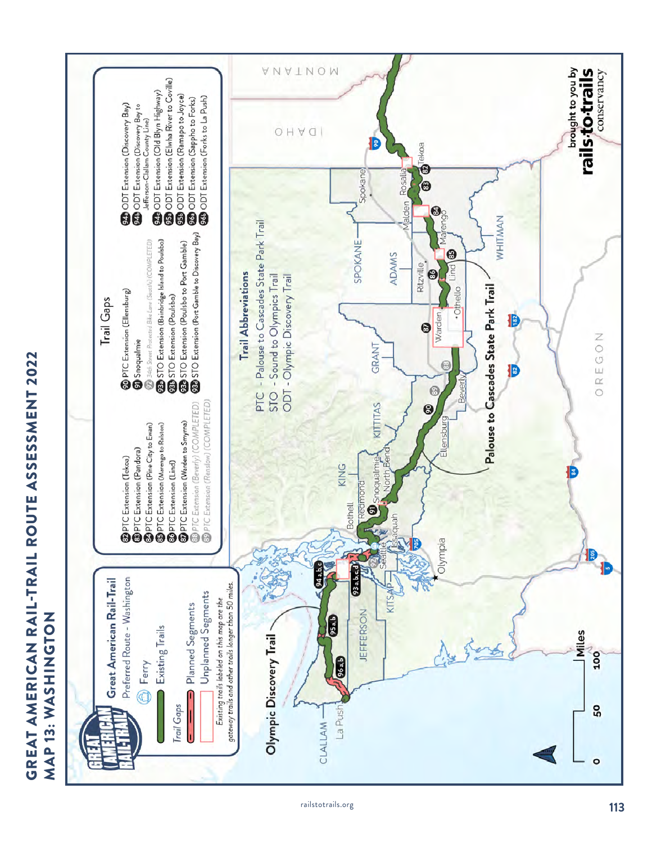

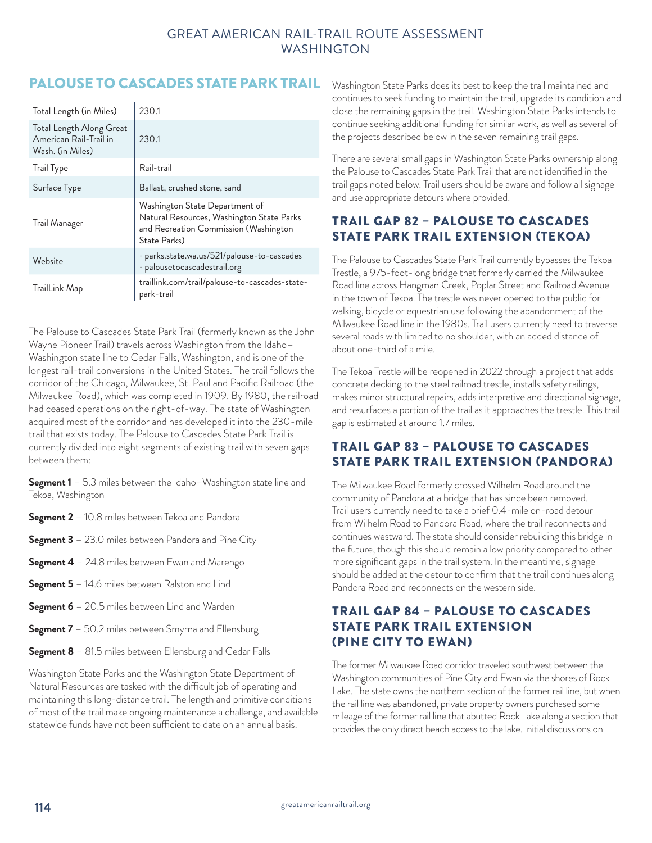## PALOUSE TO CASCADES STATE PARK TRAIL

| Total Length (in Miles)                                                | 230.1                                                                                                                                |
|------------------------------------------------------------------------|--------------------------------------------------------------------------------------------------------------------------------------|
| Total Length Along Great<br>American Rail-Trail in<br>Wash. (in Miles) | 230.1                                                                                                                                |
| <b>Trail Type</b>                                                      | Rail-trail                                                                                                                           |
| Surface Type                                                           | Ballast, crushed stone, sand                                                                                                         |
| Trail Manager                                                          | Washington State Department of<br>Natural Resources, Washington State Parks<br>and Recreation Commission (Washington<br>State Parks) |
| Website                                                                | · parks.state.wa.us/521/palouse-to-cascades<br>· palousetocascadestrail.org                                                          |
| TrailLink Map                                                          | traillink.com/trail/palouse-to-cascades-state-<br>park-trail                                                                         |

The Palouse to Cascades State Park Trail (formerly known as the John Wayne Pioneer Trail) travels across Washington from the Idaho– Washington state line to Cedar Falls, Washington, and is one of the longest rail-trail conversions in the United States. The trail follows the corridor of the Chicago, Milwaukee, St. Paul and Pacific Railroad (the Milwaukee Road), which was completed in 1909. By 1980, the railroad had ceased operations on the right-of-way. The state of Washington acquired most of the corridor and has developed it into the 230-mile trail that exists today. The Palouse to Cascades State Park Trail is currently divided into eight segments of existing trail with seven gaps between them:

**Segment 1** – 5.3 miles between the Idaho–Washington state line and Tekoa, Washington

- **Segment 2** 10.8 miles between Tekoa and Pandora
- **Segment 3** 23.0 miles between Pandora and Pine City
- **Segment 4** 24.8 miles between Ewan and Marengo
- **Segment 5** 14.6 miles between Ralston and Lind
- **Segment 6**  20.5 miles between Lind and Warden
- **Segment 7** 50.2 miles between Smyrna and Ellensburg
- **Segment 8** 81.5 miles between Ellensburg and Cedar Falls

Washington State Parks and the Washington State Department of Natural Resources are tasked with the difficult job of operating and maintaining this long-distance trail. The length and primitive conditions of most of the trail make ongoing maintenance a challenge, and available statewide funds have not been sufficient to date on an annual basis.

Washington State Parks does its best to keep the trail maintained and continues to seek funding to maintain the trail, upgrade its condition and close the remaining gaps in the trail. Washington State Parks intends to continue seeking additional funding for similar work, as well as several of the projects described below in the seven remaining trail gaps.

There are several small gaps in Washington State Parks ownership along the Palouse to Cascades State Park Trail that are not identified in the trail gaps noted below. Trail users should be aware and follow all signage and use appropriate detours where provided.

## TRAIL GAP 82 – PALOUSE TO CASCADES STATE PARK TRAIL EXTENSION (TEKOA)

The Palouse to Cascades State Park Trail currently bypasses the Tekoa Trestle, a 975-foot-long bridge that formerly carried the Milwaukee Road line across Hangman Creek, Poplar Street and Railroad Avenue in the town of Tekoa. The trestle was never opened to the public for walking, bicycle or equestrian use following the abandonment of the Milwaukee Road line in the 1980s. Trail users currently need to traverse several roads with limited to no shoulder, with an added distance of about one-third of a mile.

The Tekoa Trestle will be reopened in 2022 through a project that adds concrete decking to the steel railroad trestle, installs safety railings, makes minor structural repairs, adds interpretive and directional signage, and resurfaces a portion of the trail as it approaches the trestle. This trail gap is estimated at around 1.7 miles.

## TRAIL GAP 83 – PALOUSE TO CASCADES STATE PARK TRAIL EXTENSION (PANDORA)

The Milwaukee Road formerly crossed Wilhelm Road around the community of Pandora at a bridge that has since been removed. Trail users currently need to take a brief 0.4-mile on-road detour from Wilhelm Road to Pandora Road, where the trail reconnects and continues westward. The state should consider rebuilding this bridge in the future, though this should remain a low priority compared to other more significant gaps in the trail system. In the meantime, signage should be added at the detour to confirm that the trail continues along Pandora Road and reconnects on the western side.

## TRAIL GAP 84 – PALOUSE TO CASCADES STATE PARK TRAIL EXTENSION (PINE CITY TO EWAN)

The former Milwaukee Road corridor traveled southwest between the Washington communities of Pine City and Ewan via the shores of Rock Lake. The state owns the northern section of the former rail line, but when the rail line was abandoned, private property owners purchased some mileage of the former rail line that abutted Rock Lake along a section that provides the only direct beach access to the lake. Initial discussions on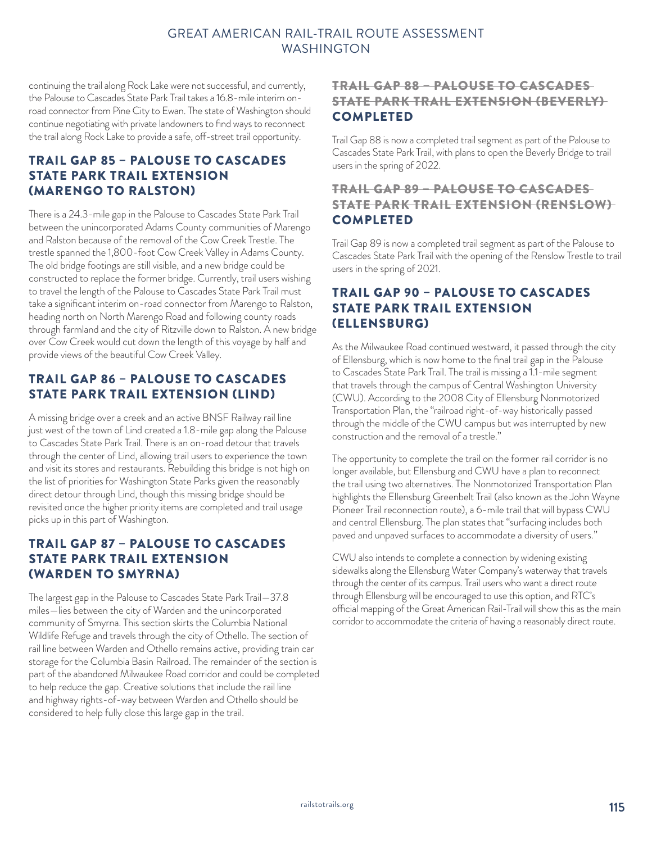continuing the trail along Rock Lake were not successful, and currently, the Palouse to Cascades State Park Trail takes a 16.8-mile interim onroad connector from Pine City to Ewan. The state of Washington should continue negotiating with private landowners to find ways to reconnect the trail along Rock Lake to provide a safe, off-street trail opportunity.

## TRAIL GAP 85 – PALOUSE TO CASCADES STATE PARK TRAIL EXTENSION (MARENGO TO RALSTON)

There is a 24.3-mile gap in the Palouse to Cascades State Park Trail between the unincorporated Adams County communities of Marengo and Ralston because of the removal of the Cow Creek Trestle. The trestle spanned the 1,800-foot Cow Creek Valley in Adams County. The old bridge footings are still visible, and a new bridge could be constructed to replace the former bridge. Currently, trail users wishing to travel the length of the Palouse to Cascades State Park Trail must take a significant interim on-road connector from Marengo to Ralston, heading north on North Marengo Road and following county roads through farmland and the city of Ritzville down to Ralston. A new bridge over Cow Creek would cut down the length of this voyage by half and provide views of the beautiful Cow Creek Valley.

## TRAIL GAP 86 – PALOUSE TO CASCADES STATE PARK TRAIL EXTENSION (LIND)

A missing bridge over a creek and an active BNSF Railway rail line just west of the town of Lind created a 1.8-mile gap along the Palouse to Cascades State Park Trail. There is an on-road detour that travels through the center of Lind, allowing trail users to experience the town and visit its stores and restaurants. Rebuilding this bridge is not high on the list of priorities for Washington State Parks given the reasonably direct detour through Lind, though this missing bridge should be revisited once the higher priority items are completed and trail usage picks up in this part of Washington.

## TRAIL GAP 87 – PALOUSE TO CASCADES STATE PARK TRAIL EXTENSION (WARDEN TO SMYRNA)

The largest gap in the Palouse to Cascades State Park Trail—37.8 miles—lies between the city of Warden and the unincorporated community of Smyrna. This section skirts the Columbia National Wildlife Refuge and travels through the city of Othello. The section of rail line between Warden and Othello remains active, providing train car storage for the Columbia Basin Railroad. The remainder of the section is part of the abandoned Milwaukee Road corridor and could be completed to help reduce the gap. Creative solutions that include the rail line and highway rights-of-way between Warden and Othello should be considered to help fully close this large gap in the trail.

#### TRAIL GAP 88 – PALOUSE TO CASCADES STATE PARK TRAIL EXTENSION (BEVERLY) COMPLETED

Trail Gap 88 is now a completed trail segment as part of the Palouse to Cascades State Park Trail, with plans to open the Beverly Bridge to trail users in the spring of 2022.

#### TRAIL GAP 89 – PALOUSE TO CASCADES STATE PARK TRAIL EXTENSION (RENSLOW) COMPLETED

Trail Gap 89 is now a completed trail segment as part of the Palouse to Cascades State Park Trail with the opening of the Renslow Trestle to trail users in the spring of 2021.

## TRAIL GAP 90 – PALOUSE TO CASCADES STATE PARK TRAIL EXTENSION (ELLENSBURG)

As the Milwaukee Road continued westward, it passed through the city of Ellensburg, which is now home to the final trail gap in the Palouse to Cascades State Park Trail. The trail is missing a 1.1-mile segment that travels through the campus of Central Washington University (CWU). According to the 2008 City of Ellensburg Nonmotorized Transportation Plan, the "railroad right-of-way historically passed through the middle of the CWU campus but was interrupted by new construction and the removal of a trestle."

The opportunity to complete the trail on the former rail corridor is no longer available, but Ellensburg and CWU have a plan to reconnect the trail using two alternatives. The Nonmotorized Transportation Plan highlights the Ellensburg Greenbelt Trail (also known as the John Wayne Pioneer Trail reconnection route), a 6-mile trail that will bypass CWU and central Ellensburg. The plan states that "surfacing includes both paved and unpaved surfaces to accommodate a diversity of users."

CWU also intends to complete a connection by widening existing sidewalks along the Ellensburg Water Company's waterway that travels through the center of its campus. Trail users who want a direct route through Ellensburg will be encouraged to use this option, and RTC's official mapping of the Great American Rail-Trail will show this as the main corridor to accommodate the criteria of having a reasonably direct route.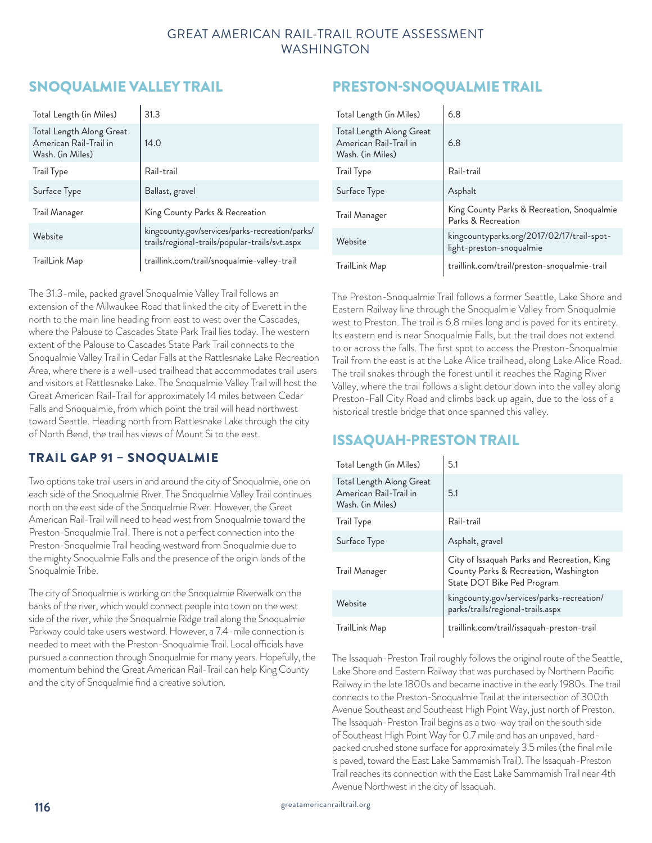# SNOQUALMIE VALLEY TRAIL

| Total Length (in Miles)                                                | 31.3                                                                                              |
|------------------------------------------------------------------------|---------------------------------------------------------------------------------------------------|
| Total Length Along Great<br>American Rail-Trail in<br>Wash. (in Miles) | 14.0                                                                                              |
| <b>Trail Type</b>                                                      | Rail-trail                                                                                        |
| Surface Type                                                           | Ballast, gravel                                                                                   |
| Trail Manager                                                          | King County Parks & Recreation                                                                    |
| Website                                                                | kingcounty.gov/services/parks-recreation/parks/<br>trails/regional-trails/popular-trails/svt.aspx |
| TrailLink Map                                                          | traillink.com/trail/snoqualmie-valley-trail                                                       |

The 31.3-mile, packed gravel Snoqualmie Valley Trail follows an extension of the Milwaukee Road that linked the city of Everett in the north to the main line heading from east to west over the Cascades, where the Palouse to Cascades State Park Trail lies today. The western extent of the Palouse to Cascades State Park Trail connects to the Snoqualmie Valley Trail in Cedar Falls at the Rattlesnake Lake Recreation Area, where there is a well-used trailhead that accommodates trail users and visitors at Rattlesnake Lake. The Snoqualmie Valley Trail will host the Great American Rail-Trail for approximately 14 miles between Cedar Falls and Snoqualmie, from which point the trail will head northwest toward Seattle. Heading north from Rattlesnake Lake through the city of North Bend, the trail has views of Mount Si to the east.

## TRAIL GAP 91 – SNOQUALMIE

Two options take trail users in and around the city of Snoqualmie, one on each side of the Snoqualmie River. The Snoqualmie Valley Trail continues north on the east side of the Snoqualmie River. However, the Great American Rail-Trail will need to head west from Snoqualmie toward the Preston-Snoqualmie Trail. There is not a perfect connection into the Preston-Snoqualmie Trail heading westward from Snoqualmie due to the mighty Snoqualmie Falls and the presence of the origin lands of the Snoqualmie Tribe.

The city of Snoqualmie is working on the Snoqualmie Riverwalk on the banks of the river, which would connect people into town on the west side of the river, while the Snoqualmie Ridge trail along the Snoqualmie Parkway could take users westward. However, a 7.4-mile connection is needed to meet with the Preston-Snoqualmie Trail. Local officials have pursued a connection through Snoqualmie for many years. Hopefully, the momentum behind the Great American Rail-Trail can help King County and the city of Snoqualmie find a creative solution.

# PRESTON-SNOQUALMIE TRAIL

| Total Length (in Miles)                                                | 6.8                                                                    |
|------------------------------------------------------------------------|------------------------------------------------------------------------|
| Total Length Along Great<br>American Rail-Trail in<br>Wash. (in Miles) | 6.8                                                                    |
| Trail Type                                                             | Rail-trail                                                             |
| Surface Type                                                           | Asphalt                                                                |
| Trail Manager                                                          | King County Parks & Recreation, Snoqualmie<br>Parks & Recreation       |
| Website                                                                | kingcountyparks.org/2017/02/17/trail-spot-<br>light-preston-snoqualmie |
| TrailLink Map                                                          | traillink.com/trail/preston-snoqualmie-trail                           |

The Preston-Snoqualmie Trail follows a former Seattle, Lake Shore and Eastern Railway line through the Snoqualmie Valley from Snoqualmie west to Preston. The trail is 6.8 miles long and is paved for its entirety. Its eastern end is near Snoqualmie Falls, but the trail does not extend to or across the falls. The first spot to access the Preston-Snoqualmie Trail from the east is at the Lake Alice trailhead, along Lake Alice Road. The trail snakes through the forest until it reaches the Raging River Valley, where the trail follows a slight detour down into the valley along Preston-Fall City Road and climbs back up again, due to the loss of a historical trestle bridge that once spanned this valley.

## ISSAQUAH-PRESTON TRAIL

| Total Length (in Miles)                                                | 5.1                                                                                                                |
|------------------------------------------------------------------------|--------------------------------------------------------------------------------------------------------------------|
| Total Length Along Great<br>American Rail-Trail in<br>Wash. (in Miles) | 5.1                                                                                                                |
| <b>Trail Type</b>                                                      | Rail-trail                                                                                                         |
| Surface Type                                                           | Asphalt, gravel                                                                                                    |
| Trail Manager                                                          | City of Issaquah Parks and Recreation, King<br>County Parks & Recreation, Washington<br>State DOT Bike Ped Program |
| Website                                                                | kingcounty.gov/services/parks-recreation/<br>parks/trails/regional-trails.aspx                                     |
| TrailLink Map                                                          | traillink.com/trail/issaquah-preston-trail                                                                         |

The Issaquah-Preston Trail roughly follows the original route of the Seattle, Lake Shore and Eastern Railway that was purchased by Northern Pacific Railway in the late 1800s and became inactive in the early 1980s. The trail connects to the Preston-Snoqualmie Trail at the intersection of 300th Avenue Southeast and Southeast High Point Way, just north of Preston. The Issaquah-Preston Trail begins as a two-way trail on the south side of Southeast High Point Way for 0.7 mile and has an unpaved, hardpacked crushed stone surface for approximately 3.5 miles (the final mile is paved, toward the East Lake Sammamish Trail). The Issaquah-Preston Trail reaches its connection with the East Lake Sammamish Trail near 4th Avenue Northwest in the city of Issaquah.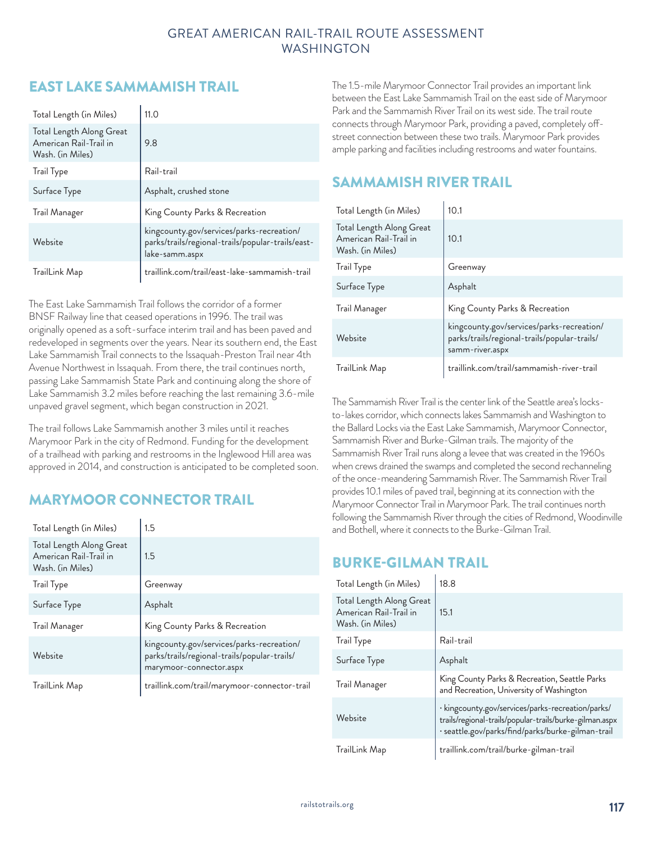# EAST LAKE SAMMAMISH TRAIL

| Total Length (in Miles)                                                | 11.0                                                                                                             |
|------------------------------------------------------------------------|------------------------------------------------------------------------------------------------------------------|
| Total Length Along Great<br>American Rail-Trail in<br>Wash. (in Miles) | 9.8                                                                                                              |
| <b>Trail Type</b>                                                      | Rail-trail                                                                                                       |
| Surface Type                                                           | Asphalt, crushed stone                                                                                           |
| Trail Manager                                                          | King County Parks & Recreation                                                                                   |
| Website                                                                | kingcounty.gov/services/parks-recreation/<br>parks/trails/regional-trails/popular-trails/east-<br>lake-samm.aspx |
| TrailLink Map                                                          | traillink.com/trail/east-lake-sammamish-trail                                                                    |

The East Lake Sammamish Trail follows the corridor of a former BNSF Railway line that ceased operations in 1996. The trail was originally opened as a soft-surface interim trail and has been paved and redeveloped in segments over the years. Near its southern end, the East Lake Sammamish Trail connects to the Issaquah-Preston Trail near 4th Avenue Northwest in Issaquah. From there, the trail continues north, passing Lake Sammamish State Park and continuing along the shore of Lake Sammamish 3.2 miles before reaching the last remaining 3.6-mile unpaved gravel segment, which began construction in 2021.

The trail follows Lake Sammamish another 3 miles until it reaches Marymoor Park in the city of Redmond. Funding for the development of a trailhead with parking and restrooms in the Inglewood Hill area was approved in 2014, and construction is anticipated to be completed soon.

## MARYMOOR CONNECTOR TRAIL

| Total Length (in Miles)                                                | 1.5                                                                                                                  |
|------------------------------------------------------------------------|----------------------------------------------------------------------------------------------------------------------|
| Total Length Along Great<br>American Rail-Trail in<br>Wash. (in Miles) | 1.5                                                                                                                  |
| <b>Trail Type</b>                                                      | Greenway                                                                                                             |
| Surface Type                                                           | Asphalt                                                                                                              |
| Trail Manager                                                          | King County Parks & Recreation                                                                                       |
| Website                                                                | kingcounty.gov/services/parks-recreation/<br>parks/trails/regional-trails/popular-trails/<br>marymoor-connector.aspx |
| TrailLink Map                                                          | traillink.com/trail/marymoor-connector-trail                                                                         |

The 1.5-mile Marymoor Connector Trail provides an important link between the East Lake Sammamish Trail on the east side of Marymoor Park and the Sammamish River Trail on its west side. The trail route connects through Marymoor Park, providing a paved, completely offstreet connection between these two trails. Marymoor Park provides ample parking and facilities including restrooms and water fountains.

## SAMMAMISH RIVER TRAIL

| Total Length (in Miles)                                                | 10.1                                                                                                         |
|------------------------------------------------------------------------|--------------------------------------------------------------------------------------------------------------|
| Total Length Along Great<br>American Rail-Trail in<br>Wash. (in Miles) | 10.1                                                                                                         |
| <b>Trail Type</b>                                                      | Greenway                                                                                                     |
| Surface Type                                                           | Asphalt                                                                                                      |
| Trail Manager                                                          | King County Parks & Recreation                                                                               |
| Website                                                                | kingcounty.gov/services/parks-recreation/<br>parks/trails/regional-trails/popular-trails/<br>samm-river.aspx |
| TrailLink Map                                                          | traillink.com/trail/sammamish-river-trail                                                                    |

The Sammamish River Trail is the center link of the Seattle area's locksto-lakes corridor, which connects lakes Sammamish and Washington to the Ballard Locks via the East Lake Sammamish, Marymoor Connector, Sammamish River and Burke-Gilman trails. The majority of the Sammamish River Trail runs along a levee that was created in the 1960s when crews drained the swamps and completed the second rechanneling of the once-meandering Sammamish River. The Sammamish River Trail provides 10.1 miles of paved trail, beginning at its connection with the Marymoor Connector Trail in Marymoor Park. The trail continues north following the Sammamish River through the cities of Redmond, Woodinville and Bothell, where it connects to the Burke-Gilman Trail.

## BURKE-GILMAN TRAIL

| Total Length (in Miles)                                                | 18.8                                                                                                                                                              |
|------------------------------------------------------------------------|-------------------------------------------------------------------------------------------------------------------------------------------------------------------|
| Total Length Along Great<br>American Rail-Trail in<br>Wash. (in Miles) | 15.1                                                                                                                                                              |
| <b>Trail Type</b>                                                      | Rail-trail                                                                                                                                                        |
| Surface Type                                                           | Asphalt                                                                                                                                                           |
| Trail Manager                                                          | King County Parks & Recreation, Seattle Parks<br>and Recreation, University of Washington                                                                         |
| Website                                                                | · kingcounty.gov/services/parks-recreation/parks/<br>trails/regional-trails/popular-trails/burke-gilman.aspx<br>· seattle.gov/parks/find/parks/burke-gilman-trail |
| TrailLink Map                                                          | traillink.com/trail/burke-gilman-trail                                                                                                                            |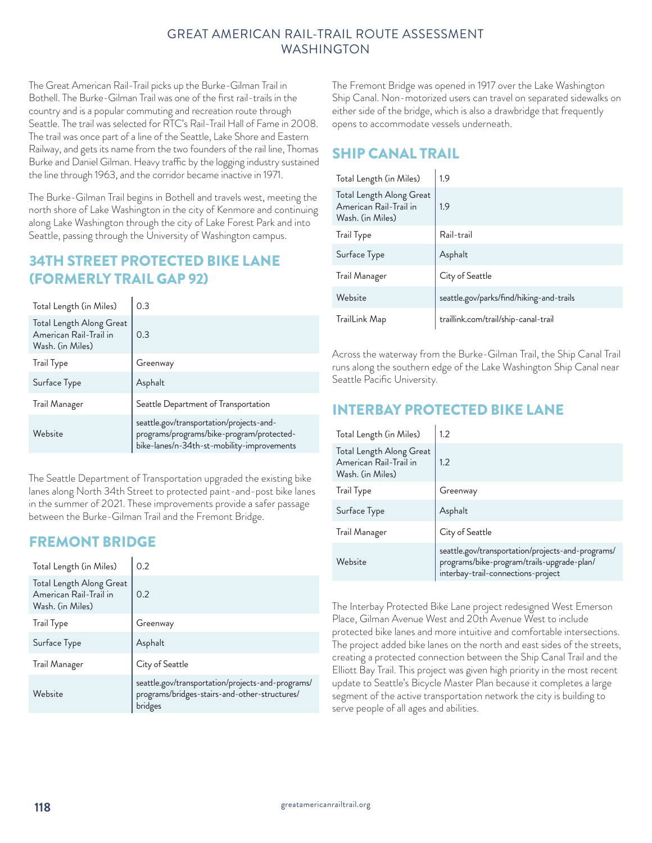The Great American Rail-Trail picks up the Burke-Gilman Trail in Bothell. The Burke-Gilman Trail was one of the first rail-trails in the country and is a popular commuting and recreation route through Seattle. The trail was selected for RTC's Rail-Trail Hall of Fame in 2008. The trail was once part of a line of the Seattle, Lake Shore and Eastern Railway, and gets its name from the two founders of the rail line, Thomas Burke and Daniel Gilman. Heavy traffic by the logging industry sustained the line through 1963, and the corridor became inactive in 1971.

The Burke-Gilman Trail begins in Bothell and travels west, meeting the north shore of Lake Washington in the city of Kenmore and continuing along Lake Washington through the city of Lake Forest Park and into Seattle, passing through the University of Washington campus.

## 34TH STREET PROTECTED BIKE LANE (FORMERLY TRAIL GAP 92)

| Total Length (in Miles)                                                | 0.3                                                                                                                                 |
|------------------------------------------------------------------------|-------------------------------------------------------------------------------------------------------------------------------------|
| Total Length Along Great<br>American Rail-Trail in<br>Wash. (in Miles) | 0.3                                                                                                                                 |
| <b>Trail Type</b>                                                      | Greenway                                                                                                                            |
| Surface Type                                                           | Asphalt                                                                                                                             |
| Trail Manager                                                          | Seattle Department of Transportation                                                                                                |
| Website                                                                | seattle.gov/transportation/projects-and-<br>programs/programs/bike-program/protected-<br>bike-lanes/n-34th-st-mobility-improvements |

The Seattle Department of Transportation upgraded the existing bike lanes along North 34th Street to protected paint-and-post bike lanes in the summer of 2021. These improvements provide a safer passage between the Burke-Gilman Trail and the Fremont Bridge.

## FREMONT BRIDGE

| Total Length (in Miles)                                                | 0.2                                                                                                           |
|------------------------------------------------------------------------|---------------------------------------------------------------------------------------------------------------|
| Total Length Along Great<br>American Rail-Trail in<br>Wash. (in Miles) | 0.2                                                                                                           |
| Trail Type                                                             | Greenway                                                                                                      |
| Surface Type                                                           | Asphalt                                                                                                       |
| Trail Manager                                                          | City of Seattle                                                                                               |
| Website                                                                | seattle.gov/transportation/projects-and-programs/<br>programs/bridges-stairs-and-other-structures/<br>bridges |

The Fremont Bridge was opened in 1917 over the Lake Washington Ship Canal. Non-motorized users can travel on separated sidewalks on either side of the bridge, which is also a drawbridge that frequently opens to accommodate vessels underneath.

# SHIP CANAL TRAIL

| Total Length (in Miles)                                                | 1.9                                      |
|------------------------------------------------------------------------|------------------------------------------|
| Total Length Along Great<br>American Rail-Trail in<br>Wash. (in Miles) | 1.9                                      |
| <b>Trail Type</b>                                                      | Rail-trail                               |
| Surface Type                                                           | Asphalt                                  |
| Trail Manager                                                          | City of Seattle                          |
| Website                                                                | seattle.gov/parks/find/hiking-and-trails |
| TrailLink Map                                                          | traillink.com/trail/ship-canal-trail     |

Across the waterway from the Burke-Gilman Trail, the Ship Canal Trail runs along the southern edge of the Lake Washington Ship Canal near Seattle Pacific University.

# INTERBAY PROTECTED BIKE LANE

| Total Length (in Miles)                                                | 1.2                                                                                                                                   |
|------------------------------------------------------------------------|---------------------------------------------------------------------------------------------------------------------------------------|
| Total Length Along Great<br>American Rail-Trail in<br>Wash. (in Miles) | 1.2                                                                                                                                   |
| <b>Trail Type</b>                                                      | Greenway                                                                                                                              |
| Surface Type                                                           | Asphalt                                                                                                                               |
| Trail Manager                                                          | City of Seattle                                                                                                                       |
| Website                                                                | seattle.gov/transportation/projects-and-programs/<br>programs/bike-program/trails-upgrade-plan/<br>interbay-trail-connections-project |

The Interbay Protected Bike Lane project redesigned West Emerson Place, Gilman Avenue West and 20th Avenue West to include protected bike lanes and more intuitive and comfortable intersections. The project added bike lanes on the north and east sides of the streets, creating a protected connection between the Ship Canal Trail and the Elliott Bay Trail. This project was given high priority in the most recent update to Seattle's Bicycle Master Plan because it completes a large segment of the active transportation network the city is building to serve people of all ages and abilities.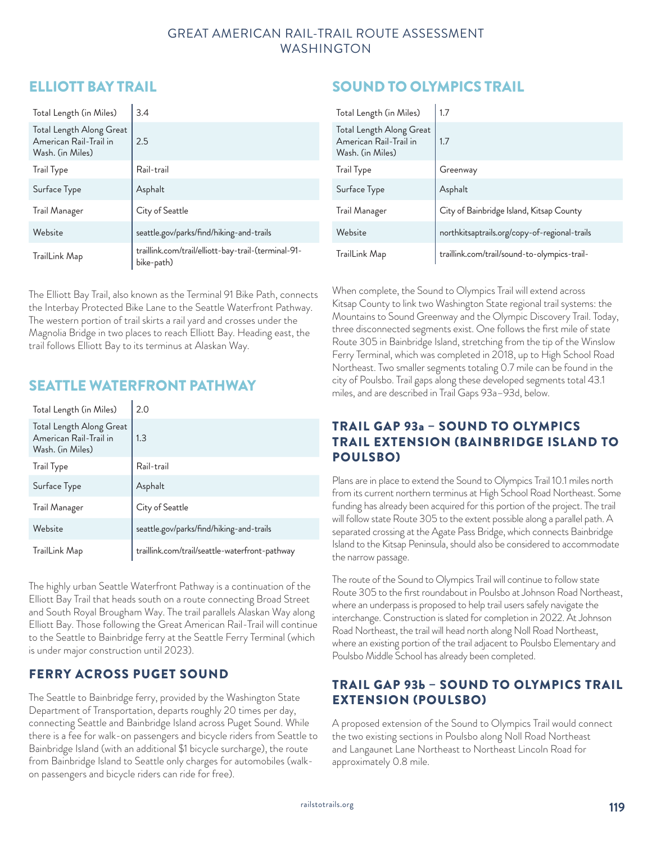## ELLIOTT BAY TRAIL

| Total Length (in Miles)                                                | 3.4                                                               |
|------------------------------------------------------------------------|-------------------------------------------------------------------|
| Total Length Along Great<br>American Rail-Trail in<br>Wash. (in Miles) | 2.5                                                               |
| <b>Trail Type</b>                                                      | Rail-trail                                                        |
| Surface Type                                                           | Asphalt                                                           |
| Trail Manager                                                          | City of Seattle                                                   |
| Website                                                                | seattle.gov/parks/find/hiking-and-trails                          |
| TrailLink Map                                                          | traillink.com/trail/elliott-bay-trail-(terminal-91-<br>bike-path) |

The Elliott Bay Trail, also known as the Terminal 91 Bike Path, connects the Interbay Protected Bike Lane to the Seattle Waterfront Pathway. The western portion of trail skirts a rail yard and crosses under the Magnolia Bridge in two places to reach Elliott Bay. Heading east, the trail follows Elliott Bay to its terminus at Alaskan Way.

## SEATTLE WATERFRONT PATHWAY

| Total Length (in Miles)                                                | 2.0                                            |
|------------------------------------------------------------------------|------------------------------------------------|
| Total Length Along Great<br>American Rail-Trail in<br>Wash. (in Miles) | 1.3                                            |
| <b>Trail Type</b>                                                      | Rail-trail                                     |
| Surface Type                                                           | Asphalt                                        |
| Trail Manager                                                          | City of Seattle                                |
| Website                                                                | seattle.gov/parks/find/hiking-and-trails       |
| TrailLink Map                                                          | traillink.com/trail/seattle-waterfront-pathway |

The highly urban Seattle Waterfront Pathway is a continuation of the Elliott Bay Trail that heads south on a route connecting Broad Street and South Royal Brougham Way. The trail parallels Alaskan Way along Elliott Bay. Those following the Great American Rail-Trail will continue to the Seattle to Bainbridge ferry at the Seattle Ferry Terminal (which is under major construction until 2023).

## FERRY ACROSS PUGET SOUND

The Seattle to Bainbridge ferry, provided by the Washington State Department of Transportation, departs roughly 20 times per day, connecting Seattle and Bainbridge Island across Puget Sound. While there is a fee for walk-on passengers and bicycle riders from Seattle to Bainbridge Island (with an additional \$1 bicycle surcharge), the route from Bainbridge Island to Seattle only charges for automobiles (walkon passengers and bicycle riders can ride for free).

# SOUND TO OLYMPICS TRAIL

| Total Length (in Miles)                                                | 1.7                                           |
|------------------------------------------------------------------------|-----------------------------------------------|
| Total Length Along Great<br>American Rail-Trail in<br>Wash. (in Miles) | 1.7                                           |
| Trail Type                                                             | Greenway                                      |
| Surface Type                                                           | Asphalt                                       |
| Trail Manager                                                          | City of Bainbridge Island, Kitsap County      |
| Website                                                                | northkitsaptrails.org/copy-of-regional-trails |
| TrailLink Map                                                          | traillink.com/trail/sound-to-olympics-trail-  |

When complete, the Sound to Olympics Trail will extend across Kitsap County to link two Washington State regional trail systems: the Mountains to Sound Greenway and the Olympic Discovery Trail. Today, three disconnected segments exist. One follows the first mile of state Route 305 in Bainbridge Island, stretching from the tip of the Winslow Ferry Terminal, which was completed in 2018, up to High School Road Northeast. Two smaller segments totaling 0.7 mile can be found in the city of Poulsbo. Trail gaps along these developed segments total 43.1 miles, and are described in Trail Gaps 93a–93d, below.

## TRAIL GAP 93a – SOUND TO OLYMPICS TRAIL EXTENSION (BAINBRIDGE ISLAND TO POULSBO)

Plans are in place to extend the Sound to Olympics Trail 10.1 miles north from its current northern terminus at High School Road Northeast. Some funding has already been acquired for this portion of the project. The trail will follow state Route 305 to the extent possible along a parallel path. A separated crossing at the Agate Pass Bridge, which connects Bainbridge Island to the Kitsap Peninsula, should also be considered to accommodate the narrow passage.

The route of the Sound to Olympics Trail will continue to follow state Route 305 to the first roundabout in Poulsbo at Johnson Road Northeast, where an underpass is proposed to help trail users safely navigate the interchange. Construction is slated for completion in 2022. At Johnson Road Northeast, the trail will head north along Noll Road Northeast, where an existing portion of the trail adjacent to Poulsbo Elementary and Poulsbo Middle School has already been completed.

## TRAIL GAP 93b – SOUND TO OLYMPICS TRAIL EXTENSION (POULSBO)

A proposed extension of the Sound to Olympics Trail would connect the two existing sections in Poulsbo along Noll Road Northeast and Langaunet Lane Northeast to Northeast Lincoln Road for approximately 0.8 mile.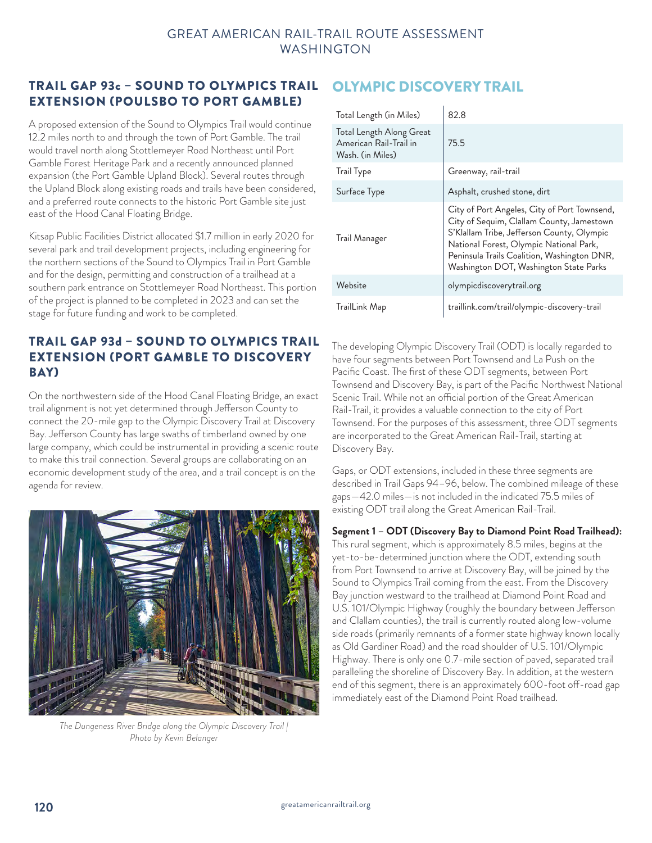## TRAIL GAP 93c – SOUND TO OLYMPICS TRAIL EXTENSION (POULSBO TO PORT GAMBLE)

A proposed extension of the Sound to Olympics Trail would continue 12.2 miles north to and through the town of Port Gamble. The trail would travel north along Stottlemeyer Road Northeast until Port Gamble Forest Heritage Park and a recently announced planned expansion (the Port Gamble Upland Block). Several routes through the Upland Block along existing roads and trails have been considered, and a preferred route connects to the historic Port Gamble site just east of the Hood Canal Floating Bridge.

Kitsap Public Facilities District allocated \$1.7 million in early 2020 for several park and trail development projects, including engineering for the northern sections of the Sound to Olympics Trail in Port Gamble and for the design, permitting and construction of a trailhead at a southern park entrance on Stottlemeyer Road Northeast. This portion of the project is planned to be completed in 2023 and can set the stage for future funding and work to be completed.

## TRAIL GAP 93d – SOUND TO OLYMPICS TRAIL EXTENSION (PORT GAMBLE TO DISCOVERY BAY)

On the northwestern side of the Hood Canal Floating Bridge, an exact trail alignment is not yet determined through Jefferson County to connect the 20-mile gap to the Olympic Discovery Trail at Discovery Bay. Jefferson County has large swaths of timberland owned by one large company, which could be instrumental in providing a scenic route to make this trail connection. Several groups are collaborating on an economic development study of the area, and a trail concept is on the agenda for review.



*The Dungeness River Bridge along the Olympic Discovery Trail | Photo by Kevin Belanger*

# OLYMPIC DISCOVERY TRAIL

| Total Length (in Miles)                                                | 82.8                                                                                                                                                                                                                                                                        |
|------------------------------------------------------------------------|-----------------------------------------------------------------------------------------------------------------------------------------------------------------------------------------------------------------------------------------------------------------------------|
| Total Length Along Great<br>American Rail-Trail in<br>Wash. (in Miles) | 75.5                                                                                                                                                                                                                                                                        |
| Trail Type                                                             | Greenway, rail-trail                                                                                                                                                                                                                                                        |
| Surface Type                                                           | Asphalt, crushed stone, dirt                                                                                                                                                                                                                                                |
| Trail Manager                                                          | City of Port Angeles, City of Port Townsend,<br>City of Sequim, Clallam County, Jamestown<br>S'Klallam Tribe, Jefferson County, Olympic<br>National Forest, Olympic National Park,<br>Peninsula Trails Coalition, Washington DNR,<br>Washington DOT, Washington State Parks |
| Website                                                                | olympicdiscoverytrail.org                                                                                                                                                                                                                                                   |
| TrailLink Map                                                          | traillink.com/trail/olympic-discovery-trail                                                                                                                                                                                                                                 |

The developing Olympic Discovery Trail (ODT) is locally regarded to have four segments between Port Townsend and La Push on the Pacific Coast. The first of these ODT segments, between Port Townsend and Discovery Bay, is part of the Pacific Northwest National Scenic Trail. While not an official portion of the Great American Rail-Trail, it provides a valuable connection to the city of Port Townsend. For the purposes of this assessment, three ODT segments are incorporated to the Great American Rail-Trail, starting at Discovery Bay.

Gaps, or ODT extensions, included in these three segments are described in Trail Gaps 94–96, below. The combined mileage of these gaps—42.0 miles—is not included in the indicated 75.5 miles of existing ODT trail along the Great American Rail-Trail.

#### **Segment 1 – ODT (Discovery Bay to Diamond Point Road Trailhead):**

This rural segment, which is approximately 8.5 miles, begins at the yet-to-be-determined junction where the ODT, extending south from Port Townsend to arrive at Discovery Bay, will be joined by the Sound to Olympics Trail coming from the east. From the Discovery Bay junction westward to the trailhead at Diamond Point Road and U.S. 101/Olympic Highway (roughly the boundary between Jefferson and Clallam counties), the trail is currently routed along low-volume side roads (primarily remnants of a former state highway known locally as Old Gardiner Road) and the road shoulder of U.S. 101/Olympic Highway. There is only one 0.7-mile section of paved, separated trail paralleling the shoreline of Discovery Bay. In addition, at the western end of this segment, there is an approximately 600-foot off-road gap immediately east of the Diamond Point Road trailhead.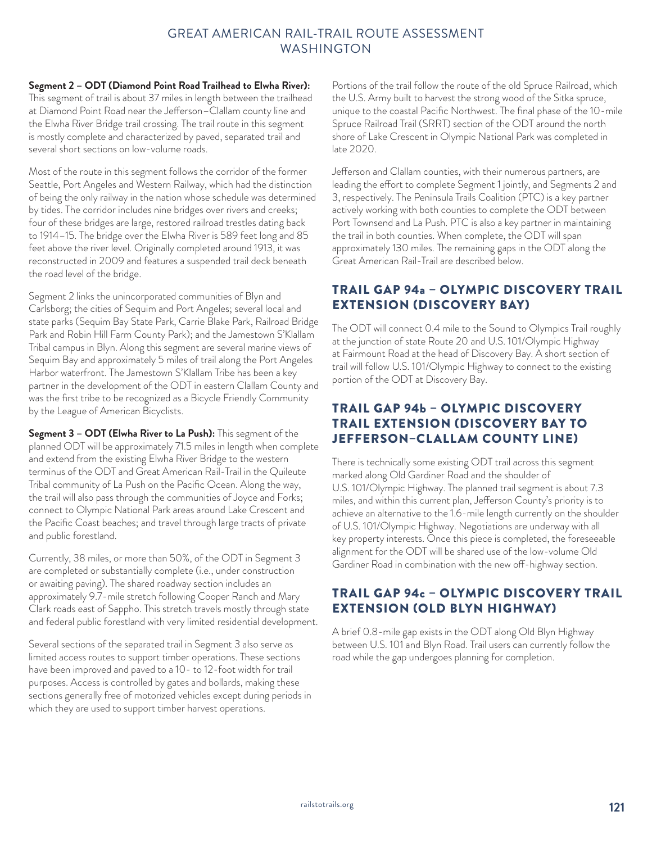#### **Segment 2 – ODT (Diamond Point Road Trailhead to Elwha River):**

This segment of trail is about 37 miles in length between the trailhead at Diamond Point Road near the Jefferson–Clallam county line and the Elwha River Bridge trail crossing. The trail route in this segment is mostly complete and characterized by paved, separated trail and several short sections on low-volume roads.

Most of the route in this segment follows the corridor of the former Seattle, Port Angeles and Western Railway, which had the distinction of being the only railway in the nation whose schedule was determined by tides. The corridor includes nine bridges over rivers and creeks; four of these bridges are large, restored railroad trestles dating back to 1914–15. The bridge over the Elwha River is 589 feet long and 85 feet above the river level. Originally completed around 1913, it was reconstructed in 2009 and features a suspended trail deck beneath the road level of the bridge.

Segment 2 links the unincorporated communities of Blyn and Carlsborg; the cities of Sequim and Port Angeles; several local and state parks (Sequim Bay State Park, Carrie Blake Park, Railroad Bridge Park and Robin Hill Farm County Park); and the Jamestown S'Klallam Tribal campus in Blyn. Along this segment are several marine views of Sequim Bay and approximately 5 miles of trail along the Port Angeles Harbor waterfront. The Jamestown S'Klallam Tribe has been a key partner in the development of the ODT in eastern Clallam County and was the first tribe to be recognized as a Bicycle Friendly Community by the League of American Bicyclists.

**Segment 3 – ODT (Elwha River to La Push):** This segment of the planned ODT will be approximately 71.5 miles in length when complete and extend from the existing Elwha River Bridge to the western terminus of the ODT and Great American Rail-Trail in the Quileute Tribal community of La Push on the Pacific Ocean. Along the way, the trail will also pass through the communities of Joyce and Forks; connect to Olympic National Park areas around Lake Crescent and the Pacific Coast beaches; and travel through large tracts of private and public forestland.

Currently, 38 miles, or more than 50%, of the ODT in Segment 3 are completed or substantially complete (i.e., under construction or awaiting paving). The shared roadway section includes an approximately 9.7-mile stretch following Cooper Ranch and Mary Clark roads east of Sappho. This stretch travels mostly through state and federal public forestland with very limited residential development.

Several sections of the separated trail in Segment 3 also serve as limited access routes to support timber operations. These sections have been improved and paved to a 10- to 12-foot width for trail purposes. Access is controlled by gates and bollards, making these sections generally free of motorized vehicles except during periods in which they are used to support timber harvest operations.

Portions of the trail follow the route of the old Spruce Railroad, which the U.S. Army built to harvest the strong wood of the Sitka spruce, unique to the coastal Pacific Northwest. The final phase of the 10-mile Spruce Railroad Trail (SRRT) section of the ODT around the north shore of Lake Crescent in Olympic National Park was completed in late 2020.

Jefferson and Clallam counties, with their numerous partners, are leading the effort to complete Segment 1 jointly, and Segments 2 and 3, respectively. The Peninsula Trails Coalition (PTC) is a key partner actively working with both counties to complete the ODT between Port Townsend and La Push. PTC is also a key partner in maintaining the trail in both counties. When complete, the ODT will span approximately 130 miles. The remaining gaps in the ODT along the Great American Rail-Trail are described below.

## TRAIL GAP 94a – OLYMPIC DISCOVERY TRAIL EXTENSION (DISCOVERY BAY)

The ODT will connect 0.4 mile to the Sound to Olympics Trail roughly at the junction of state Route 20 and U.S. 101/Olympic Highway at Fairmount Road at the head of Discovery Bay. A short section of trail will follow U.S. 101/Olympic Highway to connect to the existing portion of the ODT at Discovery Bay.

## TRAIL GAP 94b – OLYMPIC DISCOVERY TRAIL EXTENSION (DISCOVERY BAY TO JEFFERSON–CLALLAM COUNTY LINE)

There is technically some existing ODT trail across this segment marked along Old Gardiner Road and the shoulder of U.S. 101/Olympic Highway. The planned trail segment is about 7.3 miles, and within this current plan, Jefferson County's priority is to achieve an alternative to the 1.6-mile length currently on the shoulder of U.S. 101/Olympic Highway. Negotiations are underway with all key property interests. Once this piece is completed, the foreseeable alignment for the ODT will be shared use of the low-volume Old Gardiner Road in combination with the new off-highway section.

## TRAIL GAP 94c – OLYMPIC DISCOVERY TRAIL EXTENSION (OLD BLYN HIGHWAY)

A brief 0.8-mile gap exists in the ODT along Old Blyn Highway between U.S. 101 and Blyn Road. Trail users can currently follow the road while the gap undergoes planning for completion.